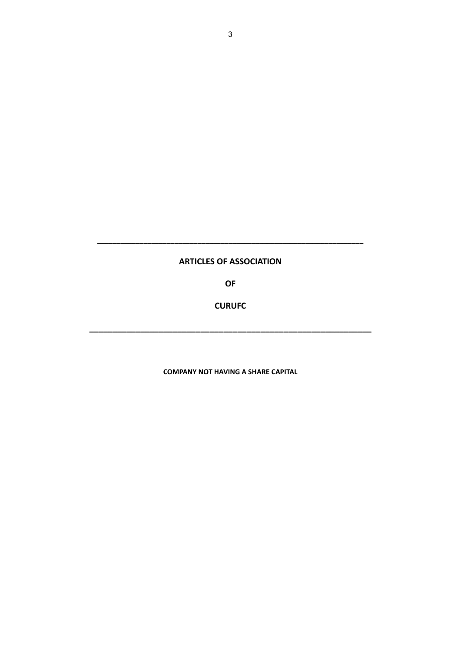# **ARTICLES OF ASSOCIATION**

**\_\_\_\_\_\_\_\_\_\_\_\_\_\_\_\_\_\_\_\_\_\_\_\_\_\_\_\_\_\_\_\_\_\_\_\_\_\_\_\_\_\_\_\_\_\_\_\_\_\_\_\_\_\_\_\_\_\_\_\_\_\_\_\_\_\_\_\_\_**

**OF**

**CURUFC**

**\_\_\_\_\_\_\_\_\_\_\_\_\_\_\_\_\_\_\_\_\_\_\_\_\_\_\_\_\_\_\_\_\_\_\_\_\_\_\_\_\_\_\_\_\_\_\_\_\_\_\_\_\_\_\_\_\_\_\_\_\_**

**COMPANY NOT HAVING A SHARE CAPITAL**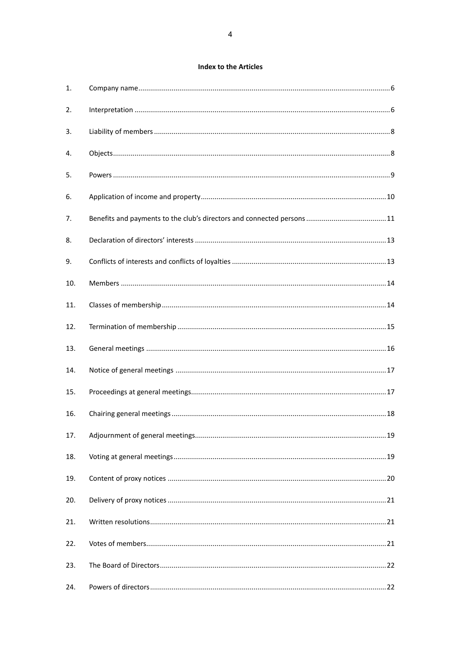# **Index to the Articles**

| 1.  |  |
|-----|--|
| 2.  |  |
| 3.  |  |
| 4.  |  |
| 5.  |  |
| 6.  |  |
| 7.  |  |
| 8.  |  |
| 9.  |  |
| 10. |  |
| 11. |  |
| 12. |  |
| 13. |  |
| 14. |  |
| 15. |  |
| 16. |  |
| 17. |  |
| 18. |  |
| 19. |  |
| 20. |  |
| 21. |  |
| 22. |  |
| 23. |  |
| 24. |  |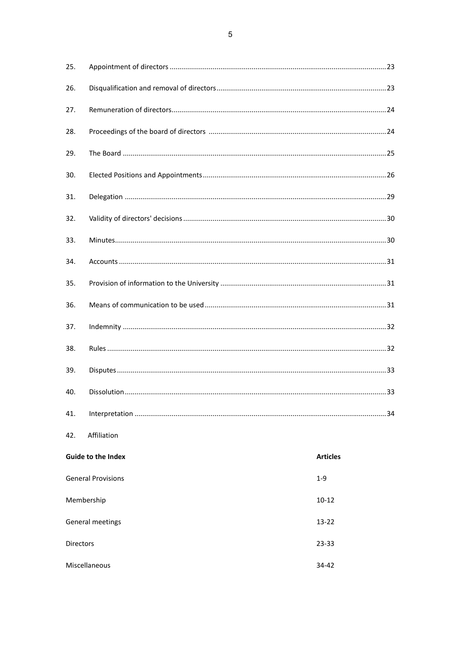$\overline{5}$ 

| 25.                       |             |                 |
|---------------------------|-------------|-----------------|
| 26.                       |             |                 |
| 27.                       |             |                 |
| 28.                       |             |                 |
| 29.                       |             |                 |
| 30.                       |             |                 |
| 31.                       |             |                 |
| 32.                       |             |                 |
| 33.                       |             |                 |
| 34.                       |             |                 |
| 35.                       |             |                 |
| 36.                       |             |                 |
| 37.                       |             |                 |
| 38.                       |             |                 |
| 39.                       |             |                 |
| 40.                       |             |                 |
| 41.                       |             |                 |
| 42.                       | Affiliation |                 |
| <b>Guide to the Index</b> |             | <b>Articles</b> |
| <b>General Provisions</b> |             | $1 - 9$         |
| Membership                |             | $10 - 12$       |
| General meetings          |             | $13 - 22$       |
| Directors                 |             | 23-33           |

 $34 - 42$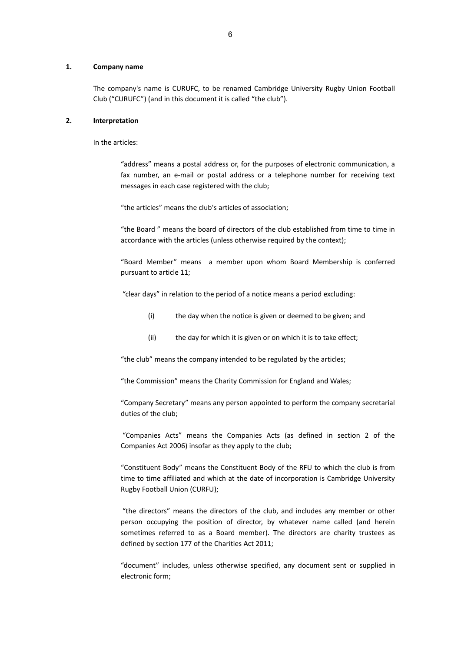#### <span id="page-3-0"></span>**1. Company name**

The company's name is CURUFC, to be renamed Cambridge University Rugby Union Football Club ("CURUFC") (and in this document it is called "the club").

#### <span id="page-3-1"></span>**2. Interpretation**

In the articles:

"address" means a postal address or, for the purposes of electronic communication, a fax number, an e-mail or postal address or a telephone number for receiving text messages in each case registered with the club;

"the articles" means the club's articles of association;

"the Board " means the board of directors of the club established from time to time in accordance with the articles (unless otherwise required by the context);

"Board Member" means a member upon whom Board Membership is conferred pursuant to article 11;

"clear days" in relation to the period of a notice means a period excluding:

- (i) the day when the notice is given or deemed to be given; and
- (ii) the day for which it is given or on which it is to take effect;

"the club" means the company intended to be regulated by the articles;

"the Commission" means the Charity Commission for England and Wales;

"Company Secretary" means any person appointed to perform the company secretarial duties of the club;

"Companies Acts" means the Companies Acts (as defined in section 2 of the Companies Act 2006) insofar as they apply to the club;

"Constituent Body" means the Constituent Body of the RFU to which the club is from time to time affiliated and which at the date of incorporation is Cambridge University Rugby Football Union (CURFU);

"the directors" means the directors of the club, and includes any member or other person occupying the position of director, by whatever name called (and herein sometimes referred to as a Board member). The directors are charity trustees as defined by section 177 of the Charities Act 2011;

"document" includes, unless otherwise specified, any document sent or supplied in electronic form;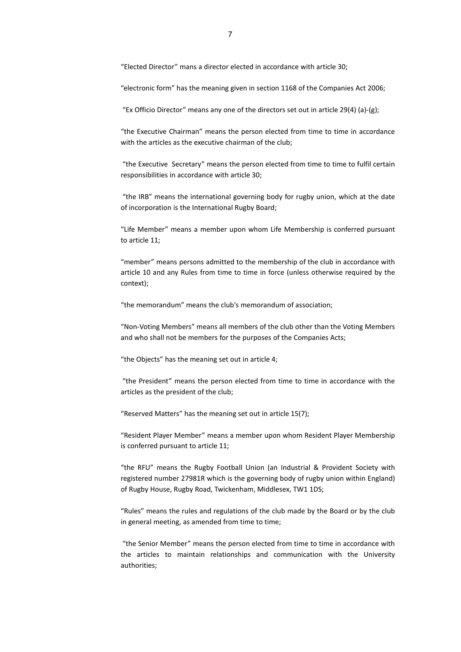"Elected Director" mans a director elected in accordance with article 30;

"electronic form" has the meaning given in section 1168 of the Companies Act 2006;

"Ex Officio Director" means any one of the directors set out in article 29(4) (a)-(g);

"the Executive Chairman" means the person elected from time to time in accordance with the articles as the executive chairman of the club;

"the Executive Secretary" means the person elected from time to time to fulfil certain responsibilities in accordance with article 30;

"the IRB" means the international governing body for rugby union, which at the date of incorporation is the International Rugby Board;

"Life Member" means a member upon whom Life Membership is conferred pursuant to articl[e 11;](#page-11-1)

"member" means persons admitted to the membership of the club in accordance with article 10 and any Rules from time to time in force (unless otherwise required by the context);

"the memorandum" means the club's memorandum of association;

"Non-Voting Members" means all members of the club other than the Voting Members and who shall not be members for the purposes of the Companies Acts;

"the Objects" has the meaning set out in article 4;

"the President" means the person elected from time to time in accordance with the articles as the president of the club;

"Reserved Matters" has the meaning set out in article 15(7);

"Resident Player Member" means a member upon whom Resident Player Membership is conferred pursuant to article [11;](#page-11-1)

"the RFU" means the Rugby Football Union (an Industrial & Provident Society with registered number 27981R which is the governing body of rugby union within England) of Rugby House, Rugby Road, Twickenham, Middlesex, TW1 1DS;

"Rules" means the rules and regulations of the club made by the Board or by the club in general meeting, as amended from time to time;

"the Senior Member" means the person elected from time to time in accordance with the articles to maintain relationships and communication with the University authorities;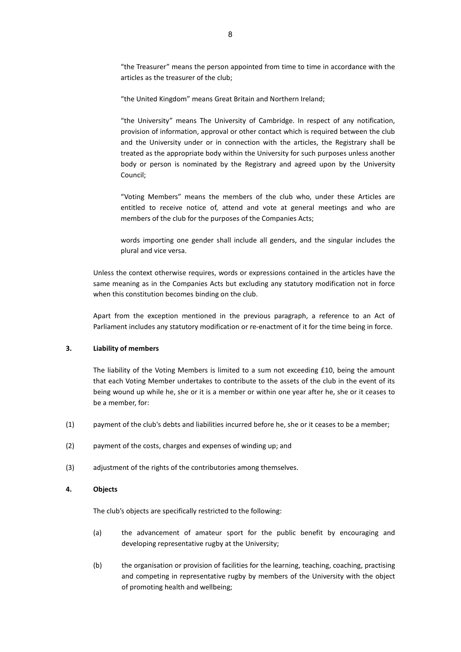"the Treasurer" means the person appointed from time to time in accordance with the articles as the treasurer of the club;

"the United Kingdom" means Great Britain and Northern Ireland;

"the University" means The University of Cambridge. In respect of any notification, provision of information, approval or other contact which is required between the club and the University under or in connection with the articles, the Registrary shall be treated as the appropriate body within the University for such purposes unless another body or person is nominated by the Registrary and agreed upon by the University Council;

"Voting Members" means the members of the club who, under these Articles are entitled to receive notice of, attend and vote at general meetings and who are members of the club for the purposes of the Companies Acts;

words importing one gender shall include all genders, and the singular includes the plural and vice versa.

Unless the context otherwise requires, words or expressions contained in the articles have the same meaning as in the Companies Acts but excluding any statutory modification not in force when this constitution becomes binding on the club.

Apart from the exception mentioned in the previous paragraph, a reference to an Act of Parliament includes any statutory modification or re-enactment of it for the time being in force.

#### <span id="page-5-0"></span>**3. Liability of members**

The liability of the Voting Members is limited to a sum not exceeding £10, being the amount that each Voting Member undertakes to contribute to the assets of the club in the event of its being wound up while he, she or it is a member or within one year after he, she or it ceases to be a member, for:

- (1) payment of the club's debts and liabilities incurred before he, she or it ceases to be a member;
- (2) payment of the costs, charges and expenses of winding up; and
- (3) adjustment of the rights of the contributories among themselves.

#### <span id="page-5-1"></span>**4. Objects**

The club's objects are specifically restricted to the following:

- (a) the advancement of amateur sport for the public benefit by encouraging and developing representative rugby at the University;
- (b) the organisation or provision of facilities for the learning, teaching, coaching, practising and competing in representative rugby by members of the University with the object of promoting health and wellbeing;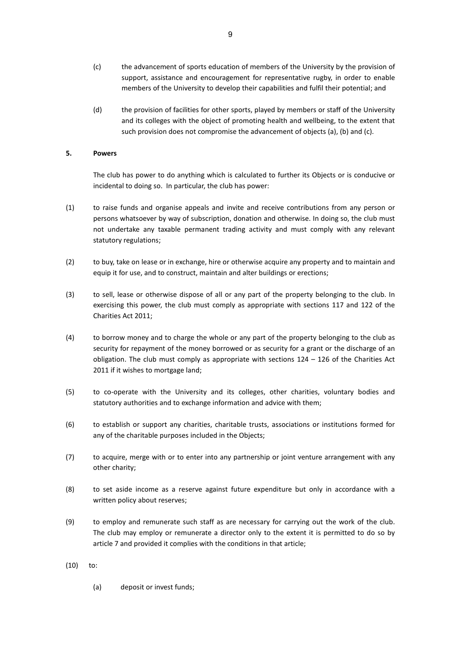- (c) the advancement of sports education of members of the University by the provision of support, assistance and encouragement for representative rugby, in order to enable members of the University to develop their capabilities and fulfil their potential; and
- (d) the provision of facilities for other sports, played by members or staff of the University and its colleges with the object of promoting health and wellbeing, to the extent that such provision does not compromise the advancement of objects (a), (b) and (c).

#### <span id="page-6-0"></span>**5. Powers**

The club has power to do anything which is calculated to further its Objects or is conducive or incidental to doing so. In particular, the club has power:

- (1) to raise funds and organise appeals and invite and receive contributions from any person or persons whatsoever by way of subscription, donation and otherwise. In doing so, the club must not undertake any taxable permanent trading activity and must comply with any relevant statutory regulations;
- (2) to buy, take on lease or in exchange, hire or otherwise acquire any property and to maintain and equip it for use, and to construct, maintain and alter buildings or erections;
- (3) to sell, lease or otherwise dispose of all or any part of the property belonging to the club. In exercising this power, the club must comply as appropriate with sections 117 and 122 of the Charities Act 2011;
- (4) to borrow money and to charge the whole or any part of the property belonging to the club as security for repayment of the money borrowed or as security for a grant or the discharge of an obligation. The club must comply as appropriate with sections 124 – 126 of the Charities Act 2011 if it wishes to mortgage land;
- (5) to co-operate with the University and its colleges, other charities, voluntary bodies and statutory authorities and to exchange information and advice with them;
- (6) to establish or support any charities, charitable trusts, associations or institutions formed for any of the charitable purposes included in the Objects;
- (7) to acquire, merge with or to enter into any partnership or joint venture arrangement with any other charity;
- (8) to set aside income as a reserve against future expenditure but only in accordance with a written policy about reserves;
- (9) to employ and remunerate such staff as are necessary for carrying out the work of the club. The club may employ or remunerate a director only to the extent it is permitted to do so by article 7 and provided it complies with the conditions in that article;
- (10) to:
	- (a) deposit or invest funds;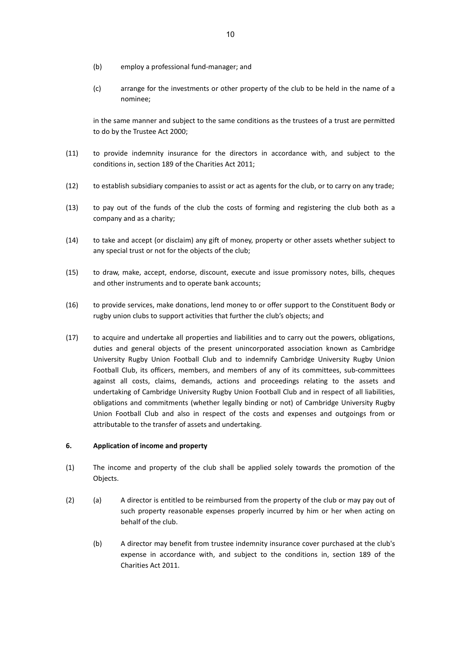- (b) employ a professional fund-manager; and
- (c) arrange for the investments or other property of the club to be held in the name of a nominee;

in the same manner and subject to the same conditions as the trustees of a trust are permitted to do by the Trustee Act 2000;

- (11) to provide indemnity insurance for the directors in accordance with, and subject to the conditions in, section 189 of the Charities Act 2011;
- (12) to establish subsidiary companies to assist or act as agents for the club, or to carry on any trade;
- (13) to pay out of the funds of the club the costs of forming and registering the club both as a company and as a charity;
- (14) to take and accept (or disclaim) any gift of money, property or other assets whether subject to any special trust or not for the objects of the club;
- (15) to draw, make, accept, endorse, discount, execute and issue promissory notes, bills, cheques and other instruments and to operate bank accounts;
- (16) to provide services, make donations, lend money to or offer support to the Constituent Body or rugby union clubs to support activities that further the club's objects; and
- (17) to acquire and undertake all properties and liabilities and to carry out the powers, obligations, duties and general objects of the present unincorporated association known as Cambridge University Rugby Union Football Club and to indemnify Cambridge University Rugby Union Football Club, its officers, members, and members of any of its committees, sub-committees against all costs, claims, demands, actions and proceedings relating to the assets and undertaking of Cambridge University Rugby Union Football Club and in respect of all liabilities, obligations and commitments (whether legally binding or not) of Cambridge University Rugby Union Football Club and also in respect of the costs and expenses and outgoings from or attributable to the transfer of assets and undertaking.

#### <span id="page-7-0"></span>**6. Application of income and property**

- (1) The income and property of the club shall be applied solely towards the promotion of the Objects.
- (2) (a) A director is entitled to be reimbursed from the property of the club or may pay out of such property reasonable expenses properly incurred by him or her when acting on behalf of the club.
	- (b) A director may benefit from trustee indemnity insurance cover purchased at the club's expense in accordance with, and subject to the conditions in, section 189 of the Charities Act 2011.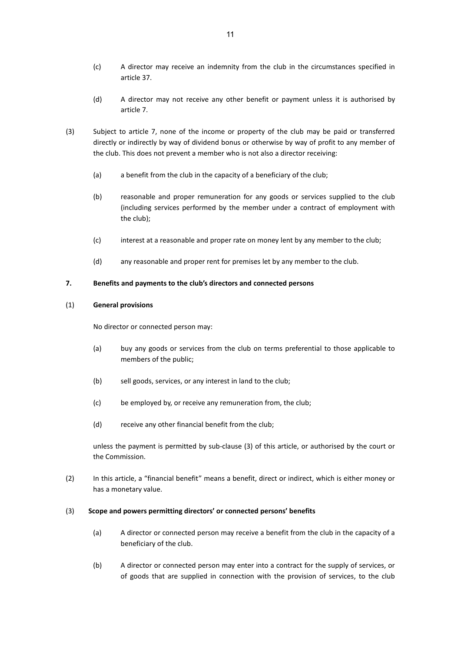- (c) A director may receive an indemnity from the club in the circumstances specified in article 37.
- (d) A director may not receive any other benefit or payment unless it is authorised by articl[e 7.](#page-8-0)
- (3) Subject to article [7,](#page-8-0) none of the income or property of the club may be paid or transferred directly or indirectly by way of dividend bonus or otherwise by way of profit to any member of the club. This does not prevent a member who is not also a director receiving:
	- (a) a benefit from the club in the capacity of a beneficiary of the club;
	- (b) reasonable and proper remuneration for any goods or services supplied to the club (including services performed by the member under a contract of employment with the club);
	- (c) interest at a reasonable and proper rate on money lent by any member to the club;
	- (d) any reasonable and proper rent for premises let by any member to the club.

#### <span id="page-8-0"></span>**7. Benefits and payments to the club's directors and connected persons**

#### (1) **General provisions**

No director or connected person may:

- (a) buy any goods or services from the club on terms preferential to those applicable to members of the public;
- (b) sell goods, services, or any interest in land to the club;
- (c) be employed by, or receive any remuneration from, the club;
- (d) receive any other financial benefit from the club;

unless the payment is permitted by sub-clause (3) of this article, or authorised by the court or the Commission.

(2) In this article, a "financial benefit" means a benefit, direct or indirect, which is either money or has a monetary value.

#### (3) **Scope and powers permitting directors' or connected persons' benefits**

- (a) A director or connected person may receive a benefit from the club in the capacity of a beneficiary of the club.
- (b) A director or connected person may enter into a contract for the supply of services, or of goods that are supplied in connection with the provision of services, to the club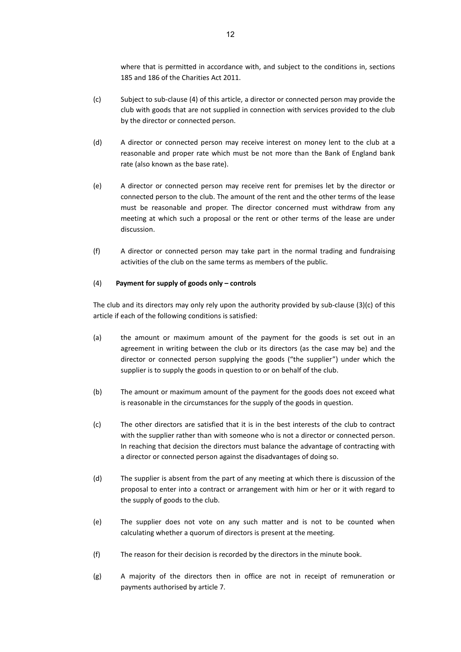where that is permitted in accordance with, and subject to the conditions in, sections 185 and 186 of the Charities Act 2011.

- (c) Subject to sub-clause (4) of this article, a director or connected person may provide the club with goods that are not supplied in connection with services provided to the club by the director or connected person.
- (d) A director or connected person may receive interest on money lent to the club at a reasonable and proper rate which must be not more than the Bank of England bank rate (also known as the base rate).
- (e) A director or connected person may receive rent for premises let by the director or connected person to the club. The amount of the rent and the other terms of the lease must be reasonable and proper. The director concerned must withdraw from any meeting at which such a proposal or the rent or other terms of the lease are under discussion.
- (f) A director or connected person may take part in the normal trading and fundraising activities of the club on the same terms as members of the public.

### (4) **Payment for supply of goods only – controls**

The club and its directors may only rely upon the authority provided by sub-clause (3)(c) of this article if each of the following conditions is satisfied:

- (a) the amount or maximum amount of the payment for the goods is set out in an agreement in writing between the club or its directors (as the case may be) and the director or connected person supplying the goods ("the supplier") under which the supplier is to supply the goods in question to or on behalf of the club.
- (b) The amount or maximum amount of the payment for the goods does not exceed what is reasonable in the circumstances for the supply of the goods in question.
- (c) The other directors are satisfied that it is in the best interests of the club to contract with the supplier rather than with someone who is not a director or connected person. In reaching that decision the directors must balance the advantage of contracting with a director or connected person against the disadvantages of doing so.
- (d) The supplier is absent from the part of any meeting at which there is discussion of the proposal to enter into a contract or arrangement with him or her or it with regard to the supply of goods to the club.
- (e) The supplier does not vote on any such matter and is not to be counted when calculating whether a quorum of directors is present at the meeting.
- (f) The reason for their decision is recorded by the directors in the minute book.
- (g) A majority of the directors then in office are not in receipt of remuneration or payments authorised by article [7.](#page-8-0)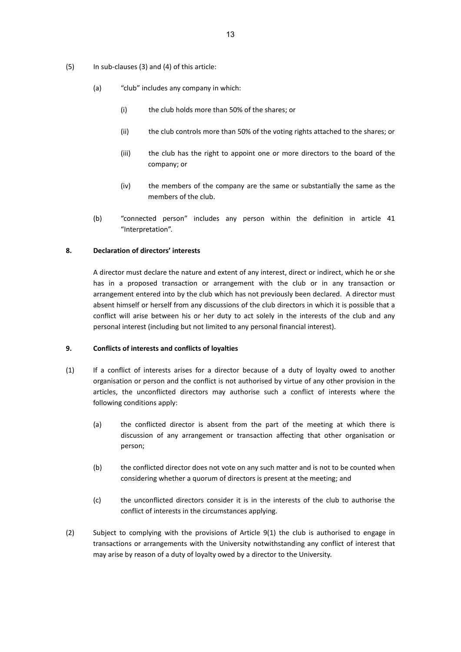- (5) In sub-clauses (3) and (4) of this article:
	- (a) "club" includes any company in which:
		- (i) the club holds more than 50% of the shares; or
		- (ii) the club controls more than 50% of the voting rights attached to the shares; or
		- (iii) the club has the right to appoint one or more directors to the board of the company; or
		- (iv) the members of the company are the same or substantially the same as the members of the club.
	- (b) "connected person" includes any person within the definition in article 41 "Interpretation".

#### <span id="page-10-0"></span>**8. Declaration of directors' interests**

A director must declare the nature and extent of any interest, direct or indirect, which he or she has in a proposed transaction or arrangement with the club or in any transaction or arrangement entered into by the club which has not previously been declared. A director must absent himself or herself from any discussions of the club directors in which it is possible that a conflict will arise between his or her duty to act solely in the interests of the club and any personal interest (including but not limited to any personal financial interest).

#### <span id="page-10-1"></span>**9. Conflicts of interests and conflicts of loyalties**

- (1) If a conflict of interests arises for a director because of a duty of loyalty owed to another organisation or person and the conflict is not authorised by virtue of any other provision in the articles, the unconflicted directors may authorise such a conflict of interests where the following conditions apply:
	- (a) the conflicted director is absent from the part of the meeting at which there is discussion of any arrangement or transaction affecting that other organisation or person;
	- (b) the conflicted director does not vote on any such matter and is not to be counted when considering whether a quorum of directors is present at the meeting; and
	- (c) the unconflicted directors consider it is in the interests of the club to authorise the conflict of interests in the circumstances applying.
- (2) Subject to complying with the provisions of Article 9(1) the club is authorised to engage in transactions or arrangements with the University notwithstanding any conflict of interest that may arise by reason of a duty of loyalty owed by a director to the University.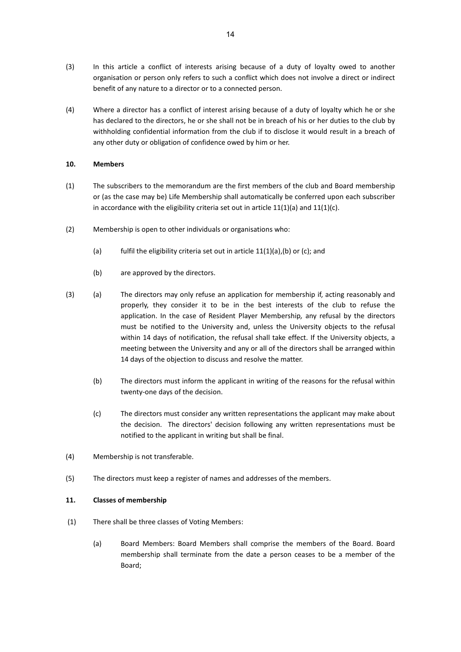- (3) In this article a conflict of interests arising because of a duty of loyalty owed to another organisation or person only refers to such a conflict which does not involve a direct or indirect benefit of any nature to a director or to a connected person.
- (4) Where a director has a conflict of interest arising because of a duty of loyalty which he or she has declared to the directors, he or she shall not be in breach of his or her duties to the club by withholding confidential information from the club if to disclose it would result in a breach of any other duty or obligation of confidence owed by him or her.

### <span id="page-11-0"></span>**10. Members**

- (1) The subscribers to the memorandum are the first members of the club and Board membership or (as the case may be) Life Membership shall automatically be conferred upon each subscriber in accordance with the eligibility criteria set out in article  $11(1)(a)$  and  $11(1)(c)$ .
- (2) Membership is open to other individuals or organisations who:
	- (a) fulfil the eligibility criteria set out in article  $11(1)(a)$ , (b) or (c); and
	- (b) are approved by the directors.
- (3) (a) The directors may only refuse an application for membership if, acting reasonably and properly, they consider it to be in the best interests of the club to refuse the application. In the case of Resident Player Membership*,* any refusal by the directors must be notified to the University and, unless the University objects to the refusal within 14 days of notification, the refusal shall take effect. If the University objects, a meeting between the University and any or all of the directors shall be arranged within 14 days of the objection to discuss and resolve the matter.
	- (b) The directors must inform the applicant in writing of the reasons for the refusal within twenty-one days of the decision.
	- (c) The directors must consider any written representations the applicant may make about the decision. The directors' decision following any written representations must be notified to the applicant in writing but shall be final.
- (4) Membership is not transferable.
- (5) The directors must keep a register of names and addresses of the members.

### <span id="page-11-1"></span>**11. Classes of membership**

- (1) There shall be three classes of Voting Members:
	- (a) Board Members: Board Members shall comprise the members of the Board. Board membership shall terminate from the date a person ceases to be a member of the Board;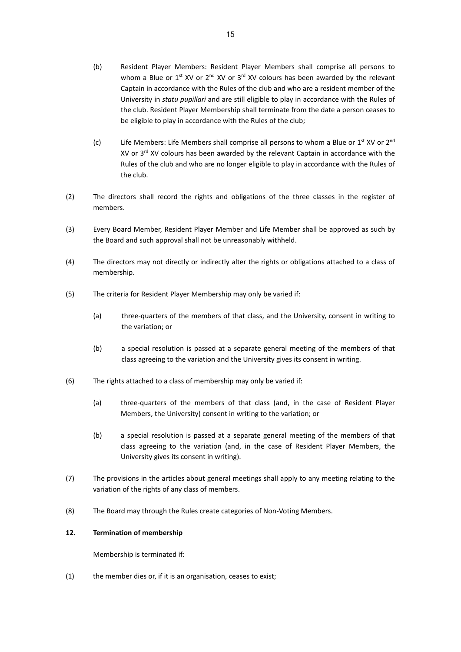- (b) Resident Player Members: Resident Player Members shall comprise all persons to whom a Blue or  $1^{st}$  XV or  $2^{nd}$  XV or  $3^{rd}$  XV colours has been awarded by the relevant Captain in accordance with the Rules of the club and who are a resident member of the University in *statu pupillari* and are still eligible to play in accordance with the Rules of the club. Resident Player Membership shall terminate from the date a person ceases to be eligible to play in accordance with the Rules of the club;
- (c) Life Members: Life Members shall comprise all persons to whom a Blue or  $1^{st}$  XV or  $2^{nd}$ XV or 3<sup>rd</sup> XV colours has been awarded by the relevant Captain in accordance with the Rules of the club and who are no longer eligible to play in accordance with the Rules of the club.
- (2) The directors shall record the rights and obligations of the three classes in the register of members.
- (3) Every Board Member, Resident Player Member and Life Member shall be approved as such by the Board and such approval shall not be unreasonably withheld.
- (4) The directors may not directly or indirectly alter the rights or obligations attached to a class of membership.
- (5) The criteria for Resident Player Membership may only be varied if:
	- (a) three-quarters of the members of that class, and the University, consent in writing to the variation; or
	- (b) a special resolution is passed at a separate general meeting of the members of that class agreeing to the variation and the University gives its consent in writing.
- (6) The rights attached to a class of membership may only be varied if:
	- (a) three-quarters of the members of that class (and, in the case of Resident Player Members, the University) consent in writing to the variation; or
	- (b) a special resolution is passed at a separate general meeting of the members of that class agreeing to the variation (and, in the case of Resident Player Members, the University gives its consent in writing).
- (7) The provisions in the articles about general meetings shall apply to any meeting relating to the variation of the rights of any class of members.
- (8) The Board may through the Rules create categories of Non-Voting Members.

### <span id="page-12-0"></span>**12. Termination of membership**

Membership is terminated if:

(1) the member dies or, if it is an organisation, ceases to exist;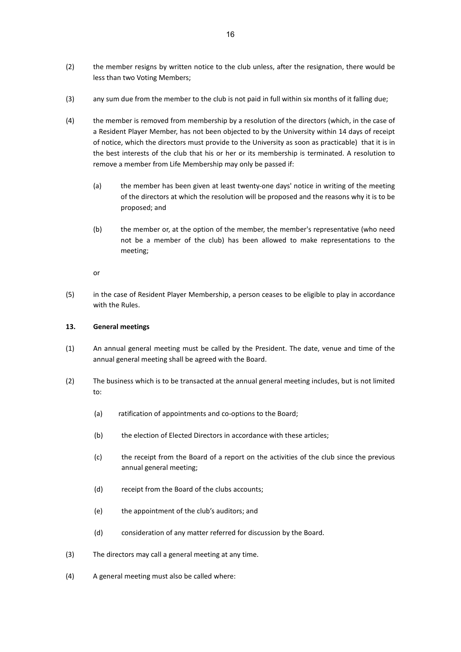- (2) the member resigns by written notice to the club unless, after the resignation, there would be less than two Voting Members;
- (3) any sum due from the member to the club is not paid in full within six months of it falling due;
- (4) the member is removed from membership by a resolution of the directors (which, in the case of a Resident Player Member, has not been objected to by the University within 14 days of receipt of notice, which the directors must provide to the University as soon as practicable) that it is in the best interests of the club that his or her or its membership is terminated. A resolution to remove a member from Life Membership may only be passed if:
	- (a) the member has been given at least twenty-one days' notice in writing of the meeting of the directors at which the resolution will be proposed and the reasons why it is to be proposed; and
	- (b) the member or, at the option of the member, the member's representative (who need not be a member of the club) has been allowed to make representations to the meeting;

or

(5) in the case of Resident Player Membership, a person ceases to be eligible to play in accordance with the Rules.

### <span id="page-13-0"></span>**13. General meetings**

- (1) An annual general meeting must be called by the President. The date, venue and time of the annual general meeting shall be agreed with the Board.
- (2) The business which is to be transacted at the annual general meeting includes, but is not limited to:
	- (a) ratification of appointments and co-options to the Board;
	- (b) the election of Elected Directors in accordance with these articles;
	- (c) the receipt from the Board of a report on the activities of the club since the previous annual general meeting;
	- (d) receipt from the Board of the clubs accounts;
	- (e) the appointment of the club's auditors; and
	- (d) consideration of any matter referred for discussion by the Board.
- (3) The directors may call a general meeting at any time.
- (4) A general meeting must also be called where: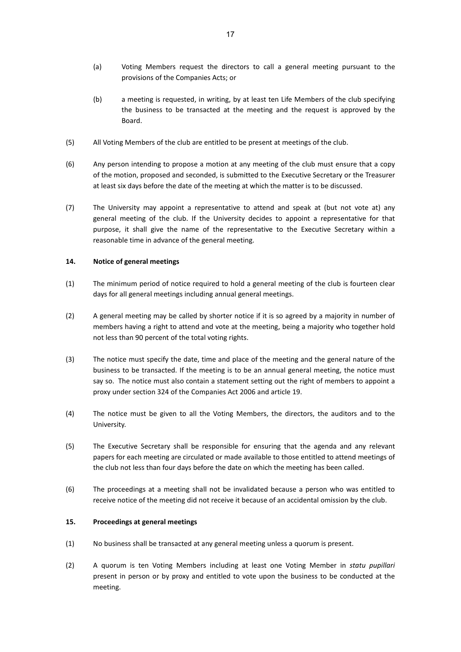- (a) Voting Members request the directors to call a general meeting pursuant to the provisions of the Companies Acts; or
- (b) a meeting is requested, in writing, by at least ten Life Members of the club specifying the business to be transacted at the meeting and the request is approved by the Board.
- (5) All Voting Members of the club are entitled to be present at meetings of the club.
- (6) Any person intending to propose a motion at any meeting of the club must ensure that a copy of the motion, proposed and seconded, is submitted to the Executive Secretary or the Treasurer at least six days before the date of the meeting at which the matter is to be discussed.
- (7) The University may appoint a representative to attend and speak at (but not vote at) any general meeting of the club. If the University decides to appoint a representative for that purpose, it shall give the name of the representative to the Executive Secretary within a reasonable time in advance of the general meeting.

#### <span id="page-14-0"></span>**14. Notice of general meetings**

- (1) The minimum period of notice required to hold a general meeting of the club is fourteen clear days for all general meetings including annual general meetings.
- (2) A general meeting may be called by shorter notice if it is so agreed by a majority in number of members having a right to attend and vote at the meeting, being a majority who together hold not less than 90 percent of the total voting rights.
- (3) The notice must specify the date, time and place of the meeting and the general nature of the business to be transacted. If the meeting is to be an annual general meeting, the notice must say so. The notice must also contain a statement setting out the right of members to appoint a proxy under section 324 of the Companies Act 2006 and articl[e 19.](#page-17-0)
- (4) The notice must be given to all the Voting Members, the directors, the auditors and to the University.
- (5) The Executive Secretary shall be responsible for ensuring that the agenda and any relevant papers for each meeting are circulated or made available to those entitled to attend meetings of the club not less than four days before the date on which the meeting has been called.
- (6) The proceedings at a meeting shall not be invalidated because a person who was entitled to receive notice of the meeting did not receive it because of an accidental omission by the club.

#### <span id="page-14-1"></span>**15. Proceedings at general meetings**

- (1) No business shall be transacted at any general meeting unless a quorum is present.
- (2) A quorum is ten Voting Members including at least one Voting Member in *statu pupillari* present in person or by proxy and entitled to vote upon the business to be conducted at the meeting.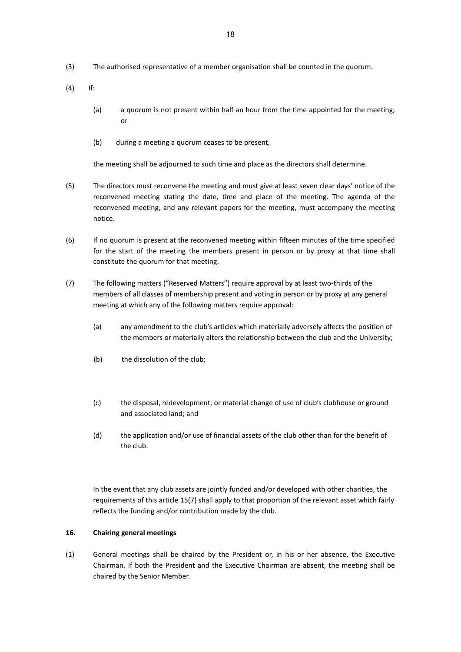- (3) The authorised representative of a member organisation shall be counted in the quorum.
- (4) If:
	- (a) a quorum is not present within half an hour from the time appointed for the meeting; or
	- (b) during a meeting a quorum ceases to be present,

the meeting shall be adjourned to such time and place as the directors shall determine.

- (5) The directors must reconvene the meeting and must give at least seven clear days' notice of the reconvened meeting stating the date, time and place of the meeting. The agenda of the reconvened meeting, and any relevant papers for the meeting, must accompany the meeting notice.
- (6) If no quorum is present at the reconvened meeting within fifteen minutes of the time specified for the start of the meeting the members present in person or by proxy at that time shall constitute the quorum for that meeting.
- (7) The following matters ("Reserved Matters") require approval by at least two-thirds of the members of all classes of membership present and voting in person or by proxy at any general meeting at which any of the following matters require approval:
	- (a) any amendment to the club's articles which materially adversely affects the position of the members or materially alters the relationship between the club and the University;
	- (b) the dissolution of the club;
	- (c) the disposal, redevelopment, or material change of use of club's clubhouse or ground and associated land; and
	- (d) the application and/or use of financial assets of the club other than for the benefit of the club.

In the event that any club assets are jointly funded and/or developed with other charities, the requirements of this article 15(7) shall apply to that proportion of the relevant asset which fairly reflects the funding and/or contribution made by the club.

#### <span id="page-15-0"></span>**16. Chairing general meetings**

(1) General meetings shall be chaired by the President or, in his or her absence, the Executive Chairman. If both the President and the Executive Chairman are absent, the meeting shall be chaired by the Senior Member.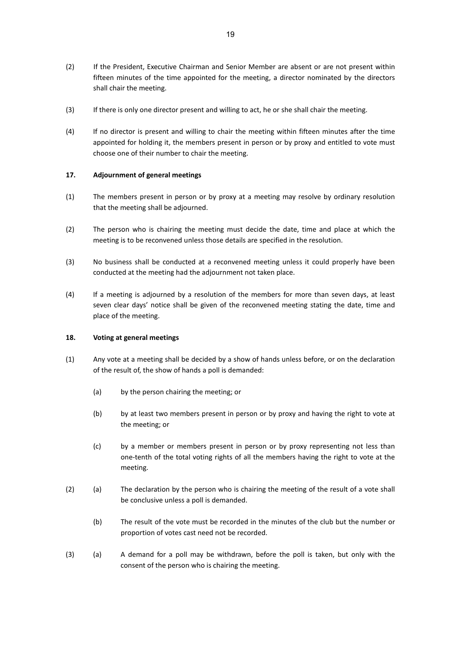- (2) If the President, Executive Chairman and Senior Member are absent or are not present within fifteen minutes of the time appointed for the meeting, a director nominated by the directors shall chair the meeting.
- (3) If there is only one director present and willing to act, he or she shall chair the meeting.
- (4) If no director is present and willing to chair the meeting within fifteen minutes after the time appointed for holding it, the members present in person or by proxy and entitled to vote must choose one of their number to chair the meeting.

## <span id="page-16-0"></span>**17. Adjournment of general meetings**

- (1) The members present in person or by proxy at a meeting may resolve by ordinary resolution that the meeting shall be adjourned.
- (2) The person who is chairing the meeting must decide the date, time and place at which the meeting is to be reconvened unless those details are specified in the resolution.
- (3) No business shall be conducted at a reconvened meeting unless it could properly have been conducted at the meeting had the adjournment not taken place.
- (4) If a meeting is adjourned by a resolution of the members for more than seven days, at least seven clear days' notice shall be given of the reconvened meeting stating the date, time and place of the meeting.

### <span id="page-16-1"></span>**18. Voting at general meetings**

- (1) Any vote at a meeting shall be decided by a show of hands unless before, or on the declaration of the result of, the show of hands a poll is demanded:
	- (a) by the person chairing the meeting; or
	- (b) by at least two members present in person or by proxy and having the right to vote at the meeting; or
	- (c) by a member or members present in person or by proxy representing not less than one-tenth of the total voting rights of all the members having the right to vote at the meeting.
- (2) (a) The declaration by the person who is chairing the meeting of the result of a vote shall be conclusive unless a poll is demanded.
	- (b) The result of the vote must be recorded in the minutes of the club but the number or proportion of votes cast need not be recorded.
- (3) (a) A demand for a poll may be withdrawn, before the poll is taken, but only with the consent of the person who is chairing the meeting.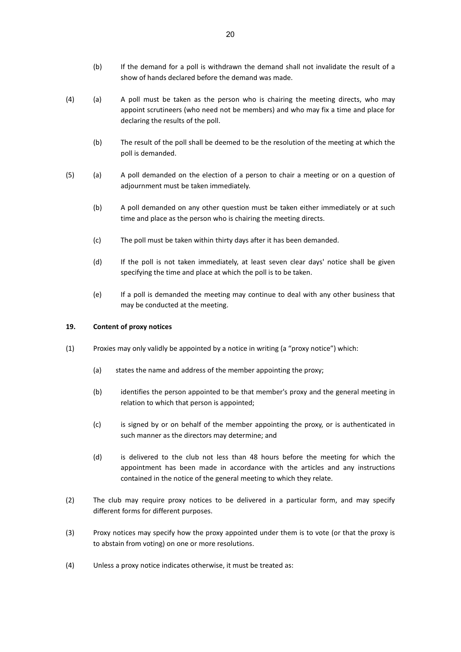- (b) If the demand for a poll is withdrawn the demand shall not invalidate the result of a show of hands declared before the demand was made.
- (4) (a) A poll must be taken as the person who is chairing the meeting directs, who may appoint scrutineers (who need not be members) and who may fix a time and place for declaring the results of the poll.
	- (b) The result of the poll shall be deemed to be the resolution of the meeting at which the poll is demanded.
- (5) (a) A poll demanded on the election of a person to chair a meeting or on a question of adjournment must be taken immediately.
	- (b) A poll demanded on any other question must be taken either immediately or at such time and place as the person who is chairing the meeting directs.
	- (c) The poll must be taken within thirty days after it has been demanded.
	- (d) If the poll is not taken immediately, at least seven clear days' notice shall be given specifying the time and place at which the poll is to be taken.
	- (e) If a poll is demanded the meeting may continue to deal with any other business that may be conducted at the meeting.

### <span id="page-17-0"></span>**19. Content of proxy notices**

- (1) Proxies may only validly be appointed by a notice in writing (a "proxy notice") which:
	- (a) states the name and address of the member appointing the proxy;
	- (b) identifies the person appointed to be that member's proxy and the general meeting in relation to which that person is appointed;
	- (c) is signed by or on behalf of the member appointing the proxy, or is authenticated in such manner as the directors may determine; and
	- (d) is delivered to the club not less than 48 hours before the meeting for which the appointment has been made in accordance with the articles and any instructions contained in the notice of the general meeting to which they relate.
- (2) The club may require proxy notices to be delivered in a particular form, and may specify different forms for different purposes.
- (3) Proxy notices may specify how the proxy appointed under them is to vote (or that the proxy is to abstain from voting) on one or more resolutions.
- (4) Unless a proxy notice indicates otherwise, it must be treated as: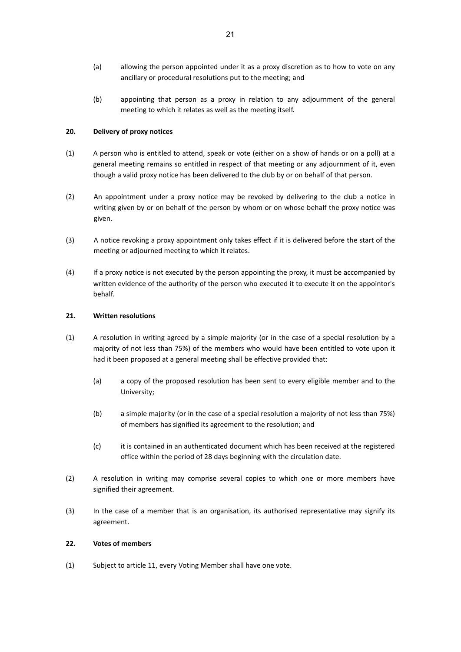- (a) allowing the person appointed under it as a proxy discretion as to how to vote on any ancillary or procedural resolutions put to the meeting; and
- (b) appointing that person as a proxy in relation to any adjournment of the general meeting to which it relates as well as the meeting itself.

# <span id="page-18-0"></span>**20. Delivery of proxy notices**

- (1) A person who is entitled to attend, speak or vote (either on a show of hands or on a poll) at a general meeting remains so entitled in respect of that meeting or any adjournment of it, even though a valid proxy notice has been delivered to the club by or on behalf of that person.
- (2) An appointment under a proxy notice may be revoked by delivering to the club a notice in writing given by or on behalf of the person by whom or on whose behalf the proxy notice was given.
- (3) A notice revoking a proxy appointment only takes effect if it is delivered before the start of the meeting or adjourned meeting to which it relates.
- (4) If a proxy notice is not executed by the person appointing the proxy, it must be accompanied by written evidence of the authority of the person who executed it to execute it on the appointor's behalf.

### <span id="page-18-1"></span>**21. Written resolutions**

- (1) A resolution in writing agreed by a simple majority (or in the case of a special resolution by a majority of not less than 75%) of the members who would have been entitled to vote upon it had it been proposed at a general meeting shall be effective provided that:
	- (a) a copy of the proposed resolution has been sent to every eligible member and to the University;
	- (b) a simple majority (or in the case of a special resolution a majority of not less than 75%) of members has signified its agreement to the resolution; and
	- (c) it is contained in an authenticated document which has been received at the registered office within the period of 28 days beginning with the circulation date.
- (2) A resolution in writing may comprise several copies to which one or more members have signified their agreement.
- (3) In the case of a member that is an organisation, its authorised representative may signify its agreement.

### <span id="page-18-2"></span>**22. Votes of members**

(1) Subject to article 11, every Voting Member shall have one vote.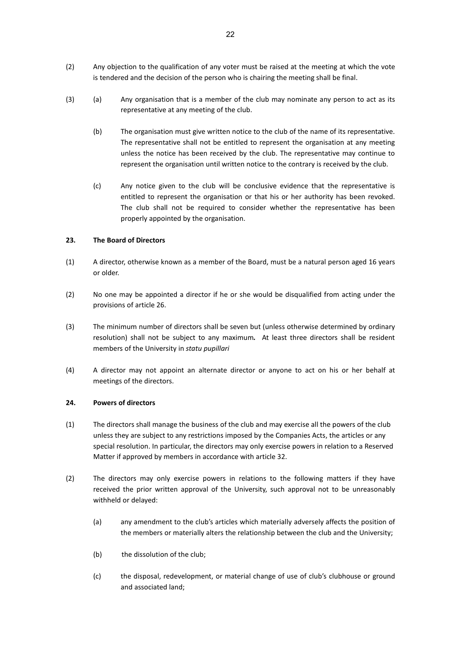- (2) Any objection to the qualification of any voter must be raised at the meeting at which the vote is tendered and the decision of the person who is chairing the meeting shall be final.
- (3) (a) Any organisation that is a member of the club may nominate any person to act as its representative at any meeting of the club.
	- (b) The organisation must give written notice to the club of the name of its representative. The representative shall not be entitled to represent the organisation at any meeting unless the notice has been received by the club. The representative may continue to represent the organisation until written notice to the contrary is received by the club.
	- (c) Any notice given to the club will be conclusive evidence that the representative is entitled to represent the organisation or that his or her authority has been revoked. The club shall not be required to consider whether the representative has been properly appointed by the organisation.

#### <span id="page-19-0"></span>**23. The Board of Directors**

- (1) A director, otherwise known as a member of the Board, must be a natural person aged 16 years or older.
- (2) No one may be appointed a director if he or she would be disqualified from acting under the provisions of article [26.](#page-20-1)
- (3) The minimum number of directors shall be seven but (unless otherwise determined by ordinary resolution) shall not be subject to any maximum*.* At least three directors shall be resident members of the University in *statu pupillari*
- (4) A director may not appoint an alternate director or anyone to act on his or her behalf at meetings of the directors.

#### <span id="page-19-1"></span>**24. Powers of directors**

- (1) The directors shall manage the business of the club and may exercise all the powers of the club unless they are subject to any restrictions imposed by the Companies Acts, the articles or any special resolution. In particular, the directors may only exercise powers in relation to a Reserved Matter if approved by members in accordance with article 32.
- (2) The directors may only exercise powers in relations to the following matters if they have received the prior written approval of the University, such approval not to be unreasonably withheld or delayed:
	- (a) any amendment to the club's articles which materially adversely affects the position of the members or materially alters the relationship between the club and the University;
	- (b) the dissolution of the club;
	- (c) the disposal, redevelopment, or material change of use of club's clubhouse or ground and associated land;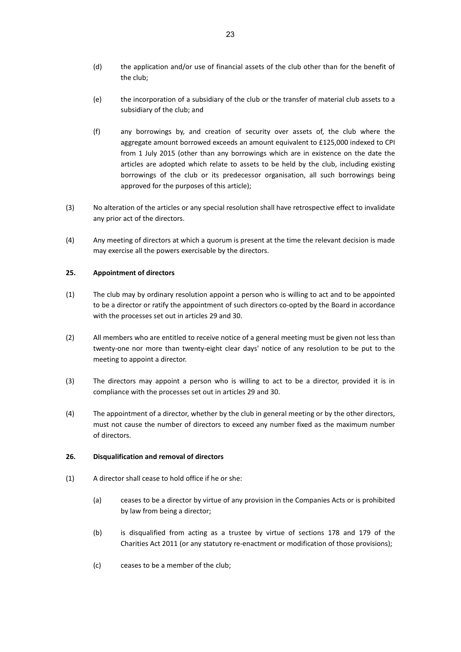- (d) the application and/or use of financial assets of the club other than for the benefit of the club;
- (e) the incorporation of a subsidiary of the club or the transfer of material club assets to a subsidiary of the club; and
- (f) any borrowings by, and creation of security over assets of, the club where the aggregate amount borrowed exceeds an amount equivalent to £125,000 indexed to CPI from 1 July 2015 (other than any borrowings which are in existence on the date the articles are adopted which relate to assets to be held by the club, including existing borrowings of the club or its predecessor organisation, all such borrowings being approved for the purposes of this article);
- (3) No alteration of the articles or any special resolution shall have retrospective effect to invalidate any prior act of the directors.
- (4) Any meeting of directors at which a quorum is present at the time the relevant decision is made may exercise all the powers exercisable by the directors.

#### <span id="page-20-0"></span>**25. Appointment of directors**

- (1) The club may by ordinary resolution appoint a person who is willing to act and to be appointed to be a director or ratify the appointment of such directors co-opted by the Board in accordance with the processes set out in articles 29 and 30.
- (2) All members who are entitled to receive notice of a general meeting must be given not less than twenty-one nor more than twenty-eight clear days' notice of any resolution to be put to the meeting to appoint a director.
- (3) The directors may appoint a person who is willing to act to be a director, provided it is in compliance with the processes set out in articles 29 and 30.
- (4) The appointment of a director, whether by the club in general meeting or by the other directors, must not cause the number of directors to exceed any number fixed as the maximum number of directors.

### <span id="page-20-1"></span>**26. Disqualification and removal of directors**

- (1) A director shall cease to hold office if he or she:
	- (a) ceases to be a director by virtue of any provision in the Companies Acts or is prohibited by law from being a director;
	- (b) is disqualified from acting as a trustee by virtue of sections 178 and 179 of the Charities Act 2011 (or any statutory re-enactment or modification of those provisions);
	- (c) ceases to be a member of the club;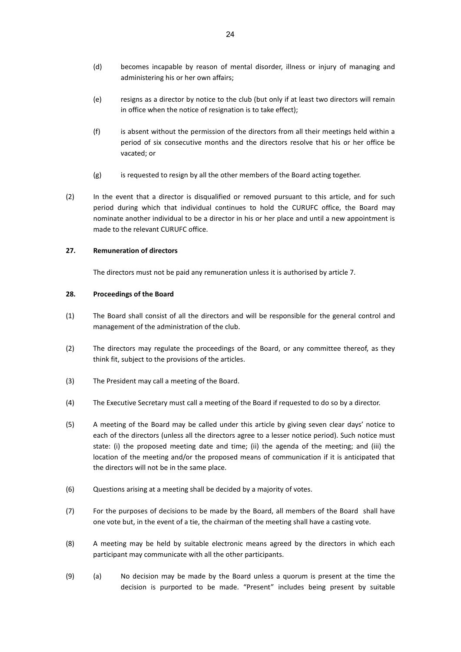- (d) becomes incapable by reason of mental disorder, illness or injury of managing and administering his or her own affairs;
- (e) resigns as a director by notice to the club (but only if at least two directors will remain in office when the notice of resignation is to take effect);
- (f) is absent without the permission of the directors from all their meetings held within a period of six consecutive months and the directors resolve that his or her office be vacated; or
- (g) is requested to resign by all the other members of the Board acting together.
- (2) In the event that a director is disqualified or removed pursuant to this article, and for such period during which that individual continues to hold the CURUFC office, the Board may nominate another individual to be a director in his or her place and until a new appointment is made to the relevant CURUFC office.

#### <span id="page-21-0"></span>**27. Remuneration of directors**

The directors must not be paid any remuneration unless it is authorised by article [7.](#page-8-0)

#### <span id="page-21-1"></span>**28. Proceedings of the Board**

- (1) The Board shall consist of all the directors and will be responsible for the general control and management of the administration of the club.
- (2) The directors may regulate the proceedings of the Board, or any committee thereof, as they think fit, subject to the provisions of the articles.
- (3) The President may call a meeting of the Board.
- (4) The Executive Secretary must call a meeting of the Board if requested to do so by a director.
- (5) A meeting of the Board may be called under this article by giving seven clear days' notice to each of the directors (unless all the directors agree to a lesser notice period). Such notice must state: (i) the proposed meeting date and time; (ii) the agenda of the meeting; and (iii) the location of the meeting and/or the proposed means of communication if it is anticipated that the directors will not be in the same place.
- (6) Questions arising at a meeting shall be decided by a majority of votes.
- (7) For the purposes of decisions to be made by the Board, all members of the Board shall have one vote but, in the event of a tie, the chairman of the meeting shall have a casting vote.
- (8) A meeting may be held by suitable electronic means agreed by the directors in which each participant may communicate with all the other participants.
- (9) (a) No decision may be made by the Board unless a quorum is present at the time the decision is purported to be made. "Present" includes being present by suitable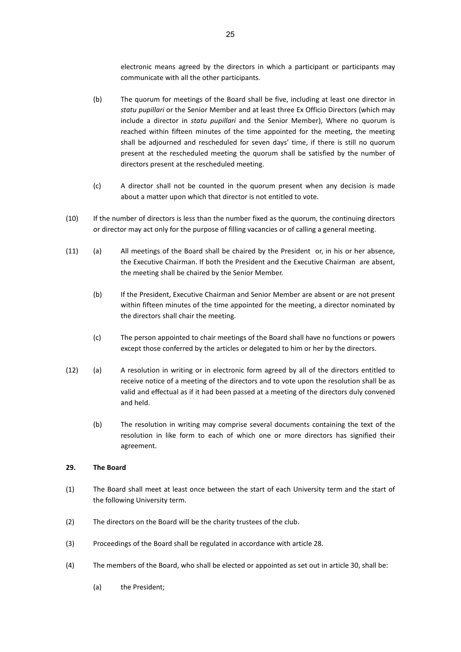electronic means agreed by the directors in which a participant or participants may communicate with all the other participants.

- (b) The quorum for meetings of the Board shall be five, including at least one director in *statu pupillari* or the Senior Member and at least three Ex Officio Directors (which may include a director in *statu pupillari* and the Senior Member), Where no quorum is reached within fifteen minutes of the time appointed for the meeting, the meeting shall be adjourned and rescheduled for seven days' time, if there is still no quorum present at the rescheduled meeting the quorum shall be satisfied by the number of directors present at the rescheduled meeting.
- (c) A director shall not be counted in the quorum present when any decision is made about a matter upon which that director is not entitled to vote.
- (10) If the number of directors is less than the number fixed as the quorum, the continuing directors or director may act only for the purpose of filling vacancies or of calling a general meeting.
- (11) (a) All meetings of the Board shall be chaired by the President or, in his or her absence, the Executive Chairman. If both the President and the Executive Chairman are absent, the meeting shall be chaired by the Senior Member.
	- (b) If the President, Executive Chairman and Senior Member are absent or are not present within fifteen minutes of the time appointed for the meeting, a director nominated by the directors shall chair the meeting.
	- (c) The person appointed to chair meetings of the Board shall have no functions or powers except those conferred by the articles or delegated to him or her by the directors.
- (12) (a) A resolution in writing or in electronic form agreed by all of the directors entitled to receive notice of a meeting of the directors and to vote upon the resolution shall be as valid and effectual as if it had been passed at a meeting of the directors duly convened and held.
	- (b) The resolution in writing may comprise several documents containing the text of the resolution in like form to each of which one or more directors has signified their agreement.

#### <span id="page-22-0"></span>**29. The Board**

- (1) The Board shall meet at least once between the start of each University term and the start of the following University term.
- (2) The directors on the Board will be the charity trustees of the club.
- (3) Proceedings of the Board shall be regulated in accordance with article 28.
- (4) The members of the Board, who shall be elected or appointed as set out in article [30,](#page-23-0) shall be:
	- (a) the President;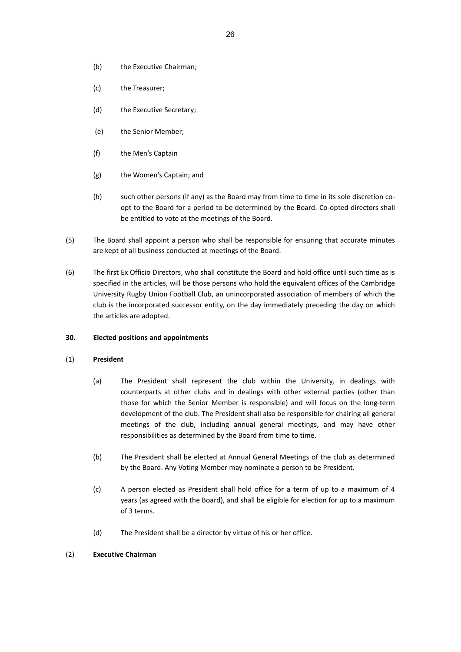- (b) the Executive Chairman;
- (c) the Treasurer;
- (d) the Executive Secretary;
- (e) the Senior Member;
- (f) the Men's Captain
- (g) the Women's Captain; and
- (h) such other persons (if any) as the Board may from time to time in its sole discretion coopt to the Board for a period to be determined by the Board. Co-opted directors shall be entitled to vote at the meetings of the Board.
- (5) The Board shall appoint a person who shall be responsible for ensuring that accurate minutes are kept of all business conducted at meetings of the Board.
- (6) The first Ex Officio Directors, who shall constitute the Board and hold office until such time as is specified in the articles, will be those persons who hold the equivalent offices of the Cambridge University Rugby Union Football Club, an unincorporated association of members of which the club is the incorporated successor entity, on the day immediately preceding the day on which the articles are adopted.

### <span id="page-23-0"></span>**30. Elected positions and appointments**

### (1) **President**

- (a) The President shall represent the club within the University, in dealings with counterparts at other clubs and in dealings with other external parties (other than those for which the Senior Member is responsible) and will focus on the long-term development of the club. The President shall also be responsible for chairing all general meetings of the club, including annual general meetings, and may have other responsibilities as determined by the Board from time to time.
- (b) The President shall be elected at Annual General Meetings of the club as determined by the Board. Any Voting Member may nominate a person to be President.
- (c) A person elected as President shall hold office for a term of up to a maximum of 4 years (as agreed with the Board), and shall be eligible for election for up to a maximum of 3 terms.
- (d) The President shall be a director by virtue of his or her office.

## (2) **Executive Chairman**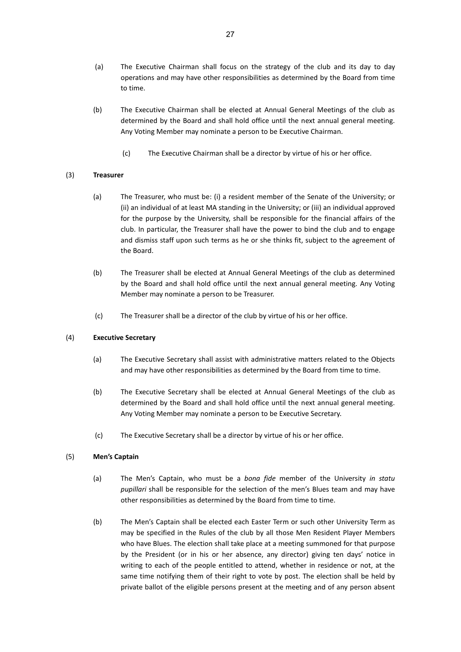- (a) The Executive Chairman shall focus on the strategy of the club and its day to day operations and may have other responsibilities as determined by the Board from time to time.
- (b) The Executive Chairman shall be elected at Annual General Meetings of the club as determined by the Board and shall hold office until the next annual general meeting. Any Voting Member may nominate a person to be Executive Chairman.
	- (c) The Executive Chairman shall be a director by virtue of his or her office.

### (3) **Treasurer**

- (a) The Treasurer, who must be: (i) a resident member of the Senate of the University; or (ii) an individual of at least MA standing in the University; or (iii) an individual approved for the purpose by the University, shall be responsible for the financial affairs of the club. In particular, the Treasurer shall have the power to bind the club and to engage and dismiss staff upon such terms as he or she thinks fit, subject to the agreement of the Board.
- (b) The Treasurer shall be elected at Annual General Meetings of the club as determined by the Board and shall hold office until the next annual general meeting. Any Voting Member may nominate a person to be Treasurer.
- (c) The Treasurer shall be a director of the club by virtue of his or her office.

### (4) **Executive Secretary**

- (a) The Executive Secretary shall assist with administrative matters related to the Objects and may have other responsibilities as determined by the Board from time to time.
- (b) The Executive Secretary shall be elected at Annual General Meetings of the club as determined by the Board and shall hold office until the next annual general meeting. Any Voting Member may nominate a person to be Executive Secretary.
- (c) The Executive Secretary shall be a director by virtue of his or her office.

### (5) **Men's Captain**

- (a) The Men's Captain, who must be a *bona fide* member of the University *in statu pupillari* shall be responsible for the selection of the men's Blues team and may have other responsibilities as determined by the Board from time to time.
- (b) The Men's Captain shall be elected each Easter Term or such other University Term as may be specified in the Rules of the club by all those Men Resident Player Members who have Blues. The election shall take place at a meeting summoned for that purpose by the President (or in his or her absence, any director) giving ten days' notice in writing to each of the people entitled to attend, whether in residence or not, at the same time notifying them of their right to vote by post. The election shall be held by private ballot of the eligible persons present at the meeting and of any person absent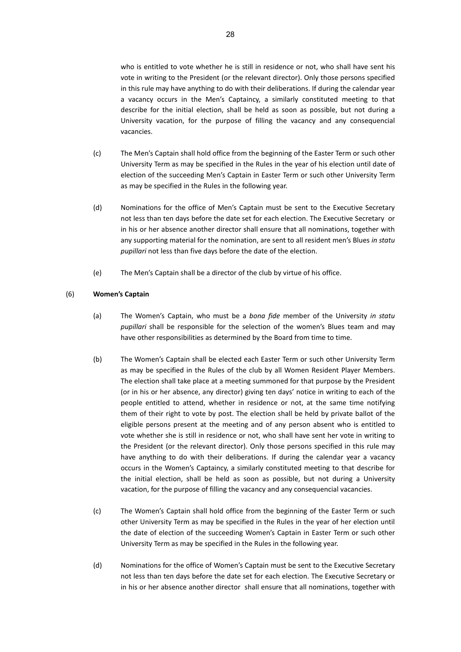who is entitled to vote whether he is still in residence or not, who shall have sent his vote in writing to the President (or the relevant director). Only those persons specified in this rule may have anything to do with their deliberations. If during the calendar year a vacancy occurs in the Men's Captaincy, a similarly constituted meeting to that describe for the initial election, shall be held as soon as possible, but not during a University vacation, for the purpose of filling the vacancy and any consequencial vacancies.

- (c) The Men's Captain shall hold office from the beginning of the Easter Term or such other University Term as may be specified in the Rules in the year of his election until date of election of the succeeding Men's Captain in Easter Term or such other University Term as may be specified in the Rules in the following year.
- (d) Nominations for the office of Men's Captain must be sent to the Executive Secretary not less than ten days before the date set for each election. The Executive Secretary or in his or her absence another director shall ensure that all nominations, together with any supporting material for the nomination, are sent to all resident men's Blues *in statu pupillari* not less than five days before the date of the election.
- (e) The Men's Captain shall be a director of the club by virtue of his office.

#### (6) **Women's Captain**

- (a) The Women's Captain, who must be a *bona fide* member of the University *in statu pupillari* shall be responsible for the selection of the women's Blues team and may have other responsibilities as determined by the Board from time to time.
- (b) The Women's Captain shall be elected each Easter Term or such other University Term as may be specified in the Rules of the club by all Women Resident Player Members. The election shall take place at a meeting summoned for that purpose by the President (or in his or her absence, any director) giving ten days' notice in writing to each of the people entitled to attend, whether in residence or not, at the same time notifying them of their right to vote by post. The election shall be held by private ballot of the eligible persons present at the meeting and of any person absent who is entitled to vote whether she is still in residence or not, who shall have sent her vote in writing to the President (or the relevant director). Only those persons specified in this rule may have anything to do with their deliberations. If during the calendar year a vacancy occurs in the Women's Captaincy, a similarly constituted meeting to that describe for the initial election, shall be held as soon as possible, but not during a University vacation, for the purpose of filling the vacancy and any consequencial vacancies.
- (c) The Women's Captain shall hold office from the beginning of the Easter Term or such other University Term as may be specified in the Rules in the year of her election until the date of election of the succeeding Women's Captain in Easter Term or such other University Term as may be specified in the Rules in the following year.
- (d) Nominations for the office of Women's Captain must be sent to the Executive Secretary not less than ten days before the date set for each election. The Executive Secretary or in his or her absence another director shall ensure that all nominations, together with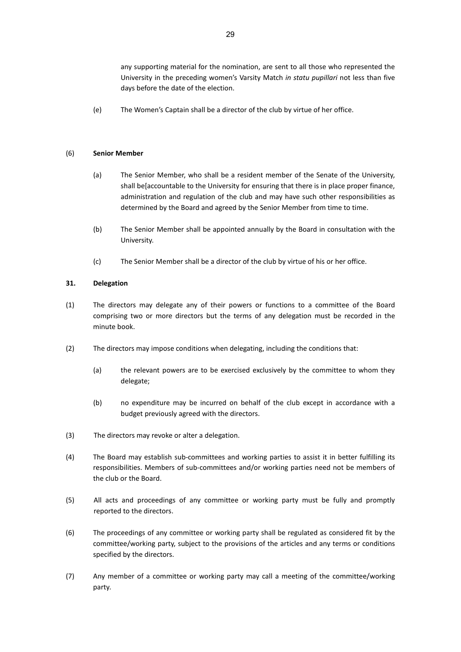any supporting material for the nomination, are sent to all those who represented the University in the preceding women's Varsity Match *in statu pupillari* not less than five days before the date of the election.

(e) The Women's Captain shall be a director of the club by virtue of her office.

#### (6) **Senior Member**

- (a) The Senior Member, who shall be a resident member of the Senate of the University, shall be[accountable to the University for ensuring that there is in place proper finance, administration and regulation of the club and may have such other responsibilities as determined by the Board and agreed by the Senior Member from time to time.
- (b) The Senior Member shall be appointed annually by the Board in consultation with the University.
- (c) The Senior Member shall be a director of the club by virtue of his or her office.

### <span id="page-26-0"></span>**31. Delegation**

- (1) The directors may delegate any of their powers or functions to a committee of the Board comprising two or more directors but the terms of any delegation must be recorded in the minute book.
- (2) The directors may impose conditions when delegating, including the conditions that:
	- (a) the relevant powers are to be exercised exclusively by the committee to whom they delegate;
	- (b) no expenditure may be incurred on behalf of the club except in accordance with a budget previously agreed with the directors.
- (3) The directors may revoke or alter a delegation.
- (4) The Board may establish sub-committees and working parties to assist it in better fulfilling its responsibilities. Members of sub-committees and/or working parties need not be members of the club or the Board.
- (5) All acts and proceedings of any committee or working party must be fully and promptly reported to the directors.
- (6) The proceedings of any committee or working party shall be regulated as considered fit by the committee/working party, subject to the provisions of the articles and any terms or conditions specified by the directors.
- (7) Any member of a committee or working party may call a meeting of the committee/working party.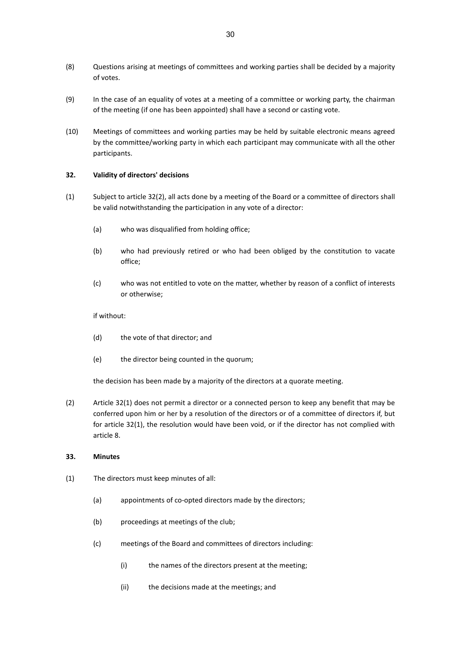- (8) Questions arising at meetings of committees and working parties shall be decided by a majority of votes.
- (9) In the case of an equality of votes at a meeting of a committee or working party, the chairman of the meeting (if one has been appointed) shall have a second or casting vote.
- (10) Meetings of committees and working parties may be held by suitable electronic means agreed by the committee/working party in which each participant may communicate with all the other participants.

#### <span id="page-27-0"></span>**32. Validity of directors' decisions**

- (1) Subject to article 32(2), all acts done by a meeting of the Board or a committee of directors shall be valid notwithstanding the participation in any vote of a director:
	- (a) who was disqualified from holding office;
	- (b) who had previously retired or who had been obliged by the constitution to vacate office;
	- (c) who was not entitled to vote on the matter, whether by reason of a conflict of interests or otherwise;

#### if without:

- (d) the vote of that director; and
- (e) the director being counted in the quorum;

the decision has been made by a majority of the directors at a quorate meeting.

(2) Article 32(1) does not permit a director or a connected person to keep any benefit that may be conferred upon him or her by a resolution of the directors or of a committee of directors if, but for article 32(1), the resolution would have been void, or if the director has not complied with article [8.](#page-10-0)

#### <span id="page-27-1"></span>**33. Minutes**

- (1) The directors must keep minutes of all:
	- (a) appointments of co-opted directors made by the directors;
	- (b) proceedings at meetings of the club;
	- (c) meetings of the Board and committees of directors including:
		- (i) the names of the directors present at the meeting;
		- (ii) the decisions made at the meetings; and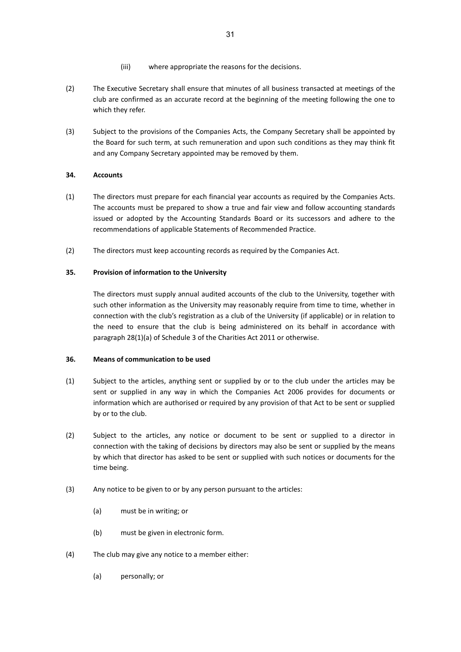- (iii) where appropriate the reasons for the decisions.
- (2) The Executive Secretary shall ensure that minutes of all business transacted at meetings of the club are confirmed as an accurate record at the beginning of the meeting following the one to which they refer.
- (3) Subject to the provisions of the Companies Acts, the Company Secretary shall be appointed by the Board for such term, at such remuneration and upon such conditions as they may think fit and any Company Secretary appointed may be removed by them.

## <span id="page-28-0"></span>**34. Accounts**

- (1) The directors must prepare for each financial year accounts as required by the Companies Acts. The accounts must be prepared to show a true and fair view and follow accounting standards issued or adopted by the Accounting Standards Board or its successors and adhere to the recommendations of applicable Statements of Recommended Practice.
- (2) The directors must keep accounting records as required by the Companies Act.

### <span id="page-28-1"></span>**35. Provision of information to the University**

The directors must supply annual audited accounts of the club to the University, together with such other information as the University may reasonably require from time to time, whether in connection with the club's registration as a club of the University (if applicable) or in relation to the need to ensure that the club is being administered on its behalf in accordance with paragraph 28(1)(a) of Schedule 3 of the Charities Act 2011 or otherwise.

### <span id="page-28-2"></span>**36. Means of communication to be used**

- (1) Subject to the articles, anything sent or supplied by or to the club under the articles may be sent or supplied in any way in which the Companies Act 2006 provides for documents or information which are authorised or required by any provision of that Act to be sent or supplied by or to the club.
- (2) Subject to the articles, any notice or document to be sent or supplied to a director in connection with the taking of decisions by directors may also be sent or supplied by the means by which that director has asked to be sent or supplied with such notices or documents for the time being.
- (3) Any notice to be given to or by any person pursuant to the articles:
	- (a) must be in writing; or
	- (b) must be given in electronic form.
- (4) The club may give any notice to a member either:
	- (a) personally; or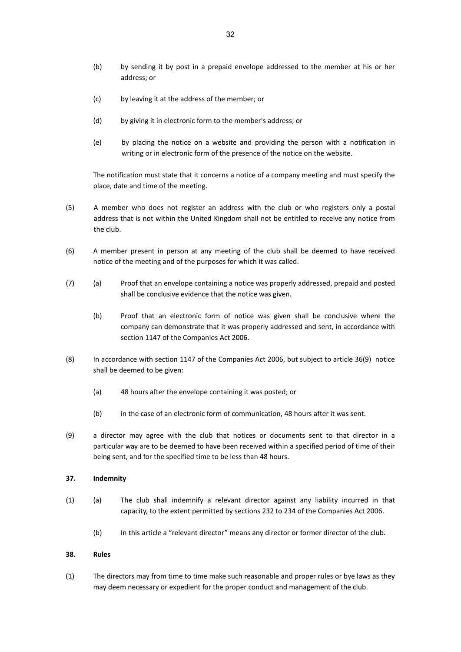- (b) by sending it by post in a prepaid envelope addressed to the member at his or her address; or
- (c) by leaving it at the address of the member; or
- (d) by giving it in electronic form to the member's address; or
- (e) by placing the notice on a website and providing the person with a notification in writing or in electronic form of the presence of the notice on the website.

The notification must state that it concerns a notice of a company meeting and must specify the place, date and time of the meeting.

- (5) A member who does not register an address with the club or who registers only a postal address that is not within the United Kingdom shall not be entitled to receive any notice from the club.
- (6) A member present in person at any meeting of the club shall be deemed to have received notice of the meeting and of the purposes for which it was called.
- (7) (a) Proof that an envelope containing a notice was properly addressed, prepaid and posted shall be conclusive evidence that the notice was given.
	- (b) Proof that an electronic form of notice was given shall be conclusive where the company can demonstrate that it was properly addressed and sent, in accordance with section 1147 of the Companies Act 2006.
- (8) In accordance with section 1147 of the Companies Act 2006, but subject to article 36(9) notice shall be deemed to be given:
	- (a) 48 hours after the envelope containing it was posted; or
	- (b) in the case of an electronic form of communication, 48 hours after it was sent.
- (9) a director may agree with the club that notices or documents sent to that director in a particular way are to be deemed to have been received within a specified period of time of their being sent, and for the specified time to be less than 48 hours.

#### <span id="page-29-0"></span>**37. Indemnity**

- (1) (a) The club shall indemnify a relevant director against any liability incurred in that capacity, to the extent permitted by sections 232 to 234 of the Companies Act 2006.
	- (b) In this article a "relevant director" means any director or former director of the club.

### <span id="page-29-1"></span>**38. Rules**

(1) The directors may from time to time make such reasonable and proper rules or bye laws as they may deem necessary or expedient for the proper conduct and management of the club.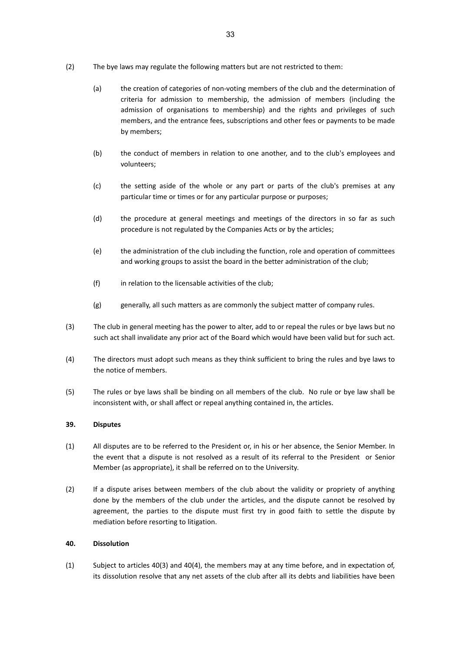- (2) The bye laws may regulate the following matters but are not restricted to them:
	- (a) the creation of categories of non-voting members of the club and the determination of criteria for admission to membership, the admission of members (including the admission of organisations to membership) and the rights and privileges of such members, and the entrance fees, subscriptions and other fees or payments to be made by members;
	- (b) the conduct of members in relation to one another, and to the club's employees and volunteers;
	- (c) the setting aside of the whole or any part or parts of the club's premises at any particular time or times or for any particular purpose or purposes;
	- (d) the procedure at general meetings and meetings of the directors in so far as such procedure is not regulated by the Companies Acts or by the articles;
	- (e) the administration of the club including the function, role and operation of committees and working groups to assist the board in the better administration of the club;
	- (f) in relation to the licensable activities of the club;
	- (g) generally, all such matters as are commonly the subject matter of company rules.
- (3) The club in general meeting has the power to alter, add to or repeal the rules or bye laws but no such act shall invalidate any prior act of the Board which would have been valid but for such act.
- (4) The directors must adopt such means as they think sufficient to bring the rules and bye laws to the notice of members.
- (5) The rules or bye laws shall be binding on all members of the club. No rule or bye law shall be inconsistent with, or shall affect or repeal anything contained in, the articles.

### <span id="page-30-0"></span>**39. Disputes**

- (1) All disputes are to be referred to the President or, in his or her absence, the Senior Member. In the event that a dispute is not resolved as a result of its referral to the President or Senior Member (as appropriate), it shall be referred on to the University.
- (2) If a dispute arises between members of the club about the validity or propriety of anything done by the members of the club under the articles, and the dispute cannot be resolved by agreement, the parties to the dispute must first try in good faith to settle the dispute by mediation before resorting to litigation.

### <span id="page-30-1"></span>**40. Dissolution**

(1) Subject to articles 40(3) and 40(4), the members may at any time before, and in expectation of, its dissolution resolve that any net assets of the club after all its debts and liabilities have been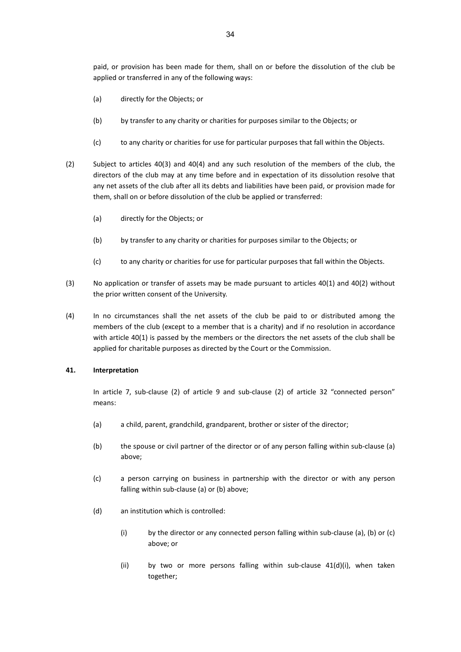- (a) directly for the Objects; or
- (b) by transfer to any charity or charities for purposes similar to the Objects; or
- (c) to any charity or charities for use for particular purposes that fall within the Objects.
- (2) Subject to articles 40(3) and 40(4) and any such resolution of the members of the club, the directors of the club may at any time before and in expectation of its dissolution resolve that any net assets of the club after all its debts and liabilities have been paid, or provision made for them, shall on or before dissolution of the club be applied or transferred:
	- (a) directly for the Objects; or
	- (b) by transfer to any charity or charities for purposes similar to the Objects; or
	- (c) to any charity or charities for use for particular purposes that fall within the Objects.
- (3) No application or transfer of assets may be made pursuant to articles 40(1) and 40(2) without the prior written consent of the University.
- (4) In no circumstances shall the net assets of the club be paid to or distributed among the members of the club (except to a member that is a charity) and if no resolution in accordance with article 40(1) is passed by the members or the directors the net assets of the club shall be applied for charitable purposes as directed by the Court or the Commission.

### <span id="page-31-0"></span>**41. Interpretation**

In article 7, sub-clause (2) of article 9 and sub-clause (2) of article 32 "connected person" means:

- (a) a child, parent, grandchild, grandparent, brother or sister of the director;
- (b) the spouse or civil partner of the director or of any person falling within sub-clause (a) above;
- (c) a person carrying on business in partnership with the director or with any person falling within sub-clause (a) or (b) above;
- (d) an institution which is controlled:
	- (i) by the director or any connected person falling within sub-clause (a), (b) or (c) above; or
	- (ii) by two or more persons falling within sub-clause 41(d)(i), when taken together;